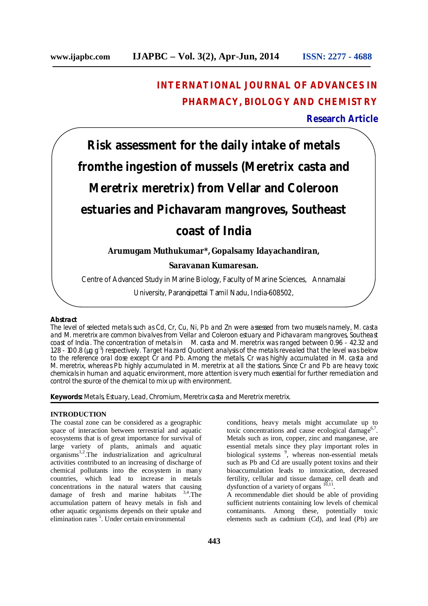## **INTERNATIONAL JOURNAL OF ADVANCES IN PHARMACY, BIOLOGY AND CHEMISTRY**

## **Research Article**

# **Risk assessment for the daily intake of metals fromthe ingestion of mussels (***Meretrix casta* **and**  *Meretrix meretrix***) from Vellar and Coleroon estuaries and Pichavaram mangroves, Southeast coast of India**

## **Arumugam Muthukumar\*, Gopalsamy Idayachandiran,**

## **Saravanan Kumaresan.**

Centre of Advanced Study in Marine Biology, Faculty of Marine Sciences, Annamalai

University, Parangipettai Tamil Nadu, India-608502,

#### **Abstract**

The level of selected metals such as Cd, Cr, Cu, Ni, Pb and Zn were assessed from two mussels namely, *M. casta* and *M. meretrix* are common bivalves from Vellar and Coleroon estuary and Pichavaram mangroves, Southeast coast of India. The concentration of metals in *M. casta* and *M. meretrix* was ranged between 0.96 - 42.32 and 1.28 - 100.8 (µg g<sup>-1</sup>) respectively. Target Hazard Quotient analysis of the metals revealed that the level was below to the reference oral dose except Cr and Pb. Among the metals, Cr was highly accumulated in *M. casta* and *M. meretrix*, whereas Pb highly accumulated in *M. meretrix* at all the stations. Since Cr and Pb are heavy toxic chemicals in human and aquatic environment, more attention is very much essential for further remediation and control the source of the chemical to mix up with environment.

**Keywords:** Metals, Estuary, Lead, Chromium, *Meretrix casta* and *Meretrix meretrix.*

## **INTRODUCTION**

The coastal zone can be considered as a geographic space of interaction between terrestrial and aquatic ecosystems that is of great importance for survival of large variety of plants, animals and aquatic organisms<sup>1,2</sup>. The industrialization and agricultural activities contributed to an increasing of discharge of chemical pollutants into the ecosystem in many countries, which lead to increase in metals concentrations in the natural waters that causing damage of fresh and marine habitats 3,4.The accumulation pattern of heavy metals in fish and other aquatic organisms depends on their uptake and elimination rates<sup>5</sup>. Under certain environmental

conditions, heavy metals might accumulate up to toxic concentrations and cause ecological damage<sup>6,7</sup>. Metals such as iron, copper, zinc and manganese, are essential metals since they play important roles in biological systems<sup>9</sup>, whereas non-essential metals such as Pb and Cd are usually potent toxins and their bioaccumulation leads to intoxication, decreased fertility, cellular and tissue damage, cell death and dysfunction of a variety of organs  $^{10,11}$ .

A recommendable diet should be able of providing sufficient nutrients containing low levels of chemical contaminants. Among these, potentially toxic elements such as cadmium (Cd), and lead (Pb) are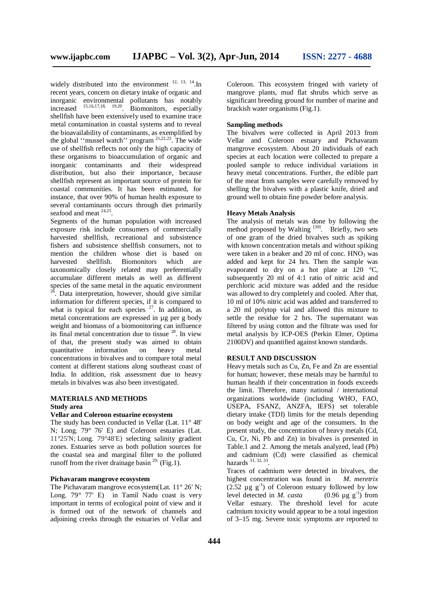widely distributed into the environment  $^{12, 13, 14}$ . In recent years, concern on dietary intake of organic and inorganic environmental pollutants has notably increased 15,16,17,18, 19,20 . Biomonitors, especially shellfish have been extensively used to examine trace metal contamination in coastal systems and to reveal the bioavailability of contaminants, as exemplified by the global "mussel watch" program  $21,22,23$ . The wide use of shellfish reflects not only the high capacity of these organisms to bioaccumulation of organic and inorganic contaminants and their widespread distribution, but also their importance, because shellfish represent an important source of protein for coastal communities. It has been estimated, for instance, that over 90% of human health exposure to several contaminants occurs through diet primarily seafood and meat  $24,25$ .

Segments of the human population with increased exposure risk include consumers of commercially harvested shellfish, recreational and subsistence fishers and subsistence shellfish consumers, not to mention the children whose diet is based on harvested shellfish. Biomonitors which are taxonomically closely related may preferentially accumulate different metals as well as different species of the same metal in the aquatic environment <sup>26</sup>. Data interpretation, however, should give similar information for different species, if it is compared to what is typical for each species  $27$ . In addition, as metal concentrations are expressed in µg per g body weight and biomass of a biomonitoring can influence its final metal concentration due to tissue  $28$ . In view of that, the present study was aimed to obtain information on heavy metal concentrations in bivalves and to compare total metal content at different stations along southeast coast of India. In addition, risk assessment due to heavy metals in bivalves was also been investigated.

## **MATERIALS AND METHODS Study area**

#### **Vellar and Coleroon estuarine ecosystem**

The study has been conducted in Vellar (Lat. 11° 48' N; Long. 79° 76' E) and Coleroon estuaries (Lat. 11°25'N; Long. 79°48'E) selecting salinity gradient zones. Estuaries serve as both pollution sources for the coastal sea and marginal filter to the polluted runoff from the river drainage basin  $^{29}$ . (Fig.1).

## **Pichavaram mangrove ecosystem**

The Pichavaram mangrove ecosystem(Lat. 11° 26' N: Long. 79° 77' E) in Tamil Nadu coast is very important in terms of ecological point of view and it is formed out of the network of channels and adjoining creeks through the estuaries of Vellar and

Coleroon. This ecosystem fringed with variety of mangrove plants, mud flat shrubs which serve as significant breeding ground for number of marine and brackish water organisms (Fig.1).

#### **Sampling methods**

The bivalves were collected in April 2013 from Vellar and Coleroon estuary and Pichavaram mangrove ecosystem. About 20 individuals of each species at each location were collected to prepare a pooled sample to reduce individual variations in heavy metal concentrations. Further, the edible part of the meat from samples were carefully removed by shelling the bivalves with a plastic knife, dried and ground well to obtain fine powder before analysis.

#### **Heavy Metals Analysis**

The analysis of metals was done by following the method proposed by Walting<sup>[30]</sup>. Briefly, two sets of one gram of the dried bivalves such as spiking with known concentration metals and without spiking were taken in a beaker and 20 ml of conc.  $HNO<sub>3</sub>$  was added and kept for 24 hrs. Then the sample was evaporated to dry on a hot plate at 120 °C, subsequently 20 ml of 4:1 ratio of nitric acid and perchloric acid mixture was added and the residue was allowed to dry completely and cooled. After that, 10 ml of 10% nitric acid was added and transferred to a 20 ml polytop vial and allowed this mixture to settle the residue for 2 hrs. The supernatant was filtered by using cotton and the filtrate was used for metal analysis by ICP-OES (Perkin Elmer, Optima 2100DV) and quantified against known standards.

#### **RESULT AND DISCUSSION**

Heavy metals such as Cu, Zn, Fe and Zn are essential for human; however, these metals may be harmful to human health if their concentration in foods exceeds the limit. Therefore, many national / international organizations worldwide (including WHO, FAO, USEPA, FSANZ, ANZFA, IEFS) set tolerable dietary intake (TDI) limits for the metals depending on body weight and age of the consumers. In the present study, the concentration of heavy metals (Cd, Cu, Cr, Ni, Pb and Zn) in bivalves is presented in Table.1 and 2. Among the metals analyzed, lead (Pb) and cadmium (Cd) were classified as chemical hazards  $31, 32, 33$ .

Traces of cadmium were detected in bivalves, the highest concentration was found in *M. meretrix*  $(2.52 \mu g g^{-1})$  of Coleroon estuary followed by low level detected in *M. casta*  $(0.96 \mu g g^{-1})$  from Vellar estuary. The threshold level for acute cadmium toxicity would appear to be a total ingestion of 3–15 mg. Severe toxic symptoms are reported to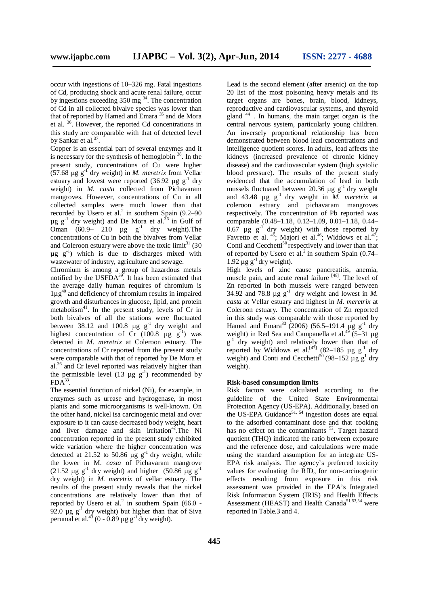occur with ingestions of 10–326 mg. Fatal ingestions of Cd, producing shock and acute renal failure, occur by ingestions exceeding  $350 \text{ mg}^{34}$ . The concentration of Cd in all collected bivalve species was lower than that of reported by Hamed and Emara <sup>35</sup> and de Mora et al. <sup>36</sup> . However, the reported Cd concentrations in this study are comparable with that of detected level by Sankar et al.<sup>37</sup>.

Copper is an essential part of several enzymes and it is necessary for the synthesis of hemoglobin  $38$ . In the present study, concentrations of Cu were higher  $(57.68 \mu g g<sup>-1</sup>$  dry weight) in *M. meretrix* from Vellar estuary and lowest were reported  $(36.92 \text{ µg g}^{-1} \text{ dry})$ weight) in *M. casta* collected from Pichavaram mangroves. However, concentrations of Cu in all collected samples were much lower than that recorded by Usero et al.<sup>2</sup> in southern Spain  $(9.2-90)$  $\mu$ g g<sup>-1</sup> dry weight) and De Mora et al.<sup>36</sup> in Gulf of Oman  $(60.9 - 210 \text{ µg g}^{-1} \text{ dry weight})$ . The concentrations of Cu in both the bivalves from Vellar and Coleroon estuary were above the toxic  $\text{limit}^{31}$  (30  $\mu$ g  $g^{-1}$ ) which is due to discharges mixed with wastewater of industry, agriculture and sewage.

Chromium is among a group of hazardous metals notified by the  $\text{USFDA}^{39}$ . It has been estimated that the average daily human requires of chromium is 1µg<sup>40</sup> and deficiency of chromium results in impaired growth and disturbances in glucose, lipid, and protein metabolism $41$ . In the present study, levels of Cr in both bivalves of all the stations were fluctuated between 38.12 and 100.8  $\mu$ g g<sup>-1</sup> dry weight and highest concentration of Cr  $(100.8 \text{ µg g}^{-1})$  was detected in *M. meretrix* at Coleroon estuary. The concentrations of Cr reported from the present study were comparable with that of reported by De Mora et al.<sup>36</sup> and Cr level reported was relatively higher than the permissible level (13  $\mu$ g g<sup>-1</sup>) recommended by  $FDA^{33}$ .

The essential function of nickel (Ni), for example, in enzymes such as urease and hydrogenase, in most plants and some microorganisms is well-known. On the other hand, nickel isa carcinogenic metal and over exposure to it can cause decreased body weight, heart and liver damage and skin irritation<sup>42</sup>. The Ni concentration reported in the present study exhibited wide variation where the higher concentration was detected at 21.52 to 50.86  $\mu$ g g<sup>-1</sup> dry weight, while the lower in M. *casta* of Pichavaram mangrove (21.52  $\mu$ g g<sup>-1</sup> dry weight) and higher (50.86  $\mu$ g g<sup>-1</sup> dry weight) in *M. meretrix* of vellar estuary. The results of the present study reveals that the nickel concentrations are relatively lower than that of reported by Usero et al.<sup>2</sup> in southern Spain (66.0 -92.0  $\mu$ g g<sup>-1</sup> dry weight) but higher than that of Siva perumal et al.<sup>43</sup> (0 - 0.89  $\mu$ g g<sup>-1</sup> dry weight).

Lead is the second element (after arsenic) on the top 20 list of the most poisoning heavy metals and its target organs are bones, brain, blood, kidneys, reproductive and cardiovascular systems, and thyroid gland <sup>44</sup> . In humans, the main target organ is the central nervous system, particularly young children. An inversely proportional relationship has been demonstrated between blood lead concentrations and intelligence quotient scores. In adults, lead affects the kidneys (increased prevalence of chronic kidney disease) and the cardiovascular system (high systolic blood pressure). The results of the present study evidenced that the accumulation of lead in both mussels fluctuated between 20.36  $\mu$ g g<sup>-1</sup> dry weight and  $43.48 \mu g g^{-1}$  dry weight in *M. meretrix* at coleroon estuary and pichavaram mangroves respectively. The concentration of Pb reported was comparable (0.48–1.18, 0.12–1.09, 0.01–1.18, 0.44– 0.67  $\mu$ g g<sup>-1</sup> dry weight) with those reported by Favretto et al.  $45$ ; Majori et al.  $46$ ; Widdows et al.  $47$ ; Conti and Cecchetti<sup>50</sup> respectively and lower than that of reported by Usero et al.<sup>2</sup> in southern Spain  $(0.74 1.92 \mu$ g g<sup>-1</sup> dry weight).

High levels of zinc cause pancreatitis, anemia, muscle pain, and acute renal failure [48]. The level of Zn reported in both mussels were ranged between 34.92 and 78.8  $\mu$ g g<sup>-1</sup> dry weight and lowest in *M*. *casta* at Vellar estuary and highest in *M. meretrix* at Coleroon estuary. The concentration of Zn reported in this study was comparable with those reported by Hamed and Emara<sup>33</sup> (2006) (56.5–191.4 µg  $g^{-1}$  dry weight) in Red Sea and Campanella et al.<sup>49</sup> (5–31  $\mu$ g g<sup>-1</sup> dry weight) and relatively lower than that of reported by Widdows et al.<sup>[47]</sup> (82–185 µg  $g^{-1}$  dry weight) and Conti and Cecchetti<sup>50</sup> (98–152  $\mu$ g g<sup>1</sup> dry weight).

#### **Risk-based consumption limits**

Risk factors were calculated according to the guideline of the United State Environmental Protection Agency (US-EPA). Additionally, based on the US-EPA Guidance<sup>51, 54</sup> ingestion doses are equal to the adsorbed contaminant dose and that cooking has no effect on the contaminants<sup>52</sup>. Target hazard quotient (THQ) indicated the ratio between exposure and the reference dose, and calculations were made using the standard assumption for an integrate US-EPA risk analysis. The agency's preferred toxicity values for evaluating the  $RfD<sub>o</sub>$  for non-carcinogenic effects resulting from exposure in this risk assessment was provided in the EPA's Integrated Risk Information System (IRIS) and Health Effects Assessment (HEAST) and Health Canada<sup>51,53,54</sup> were reported in Table.3 and 4.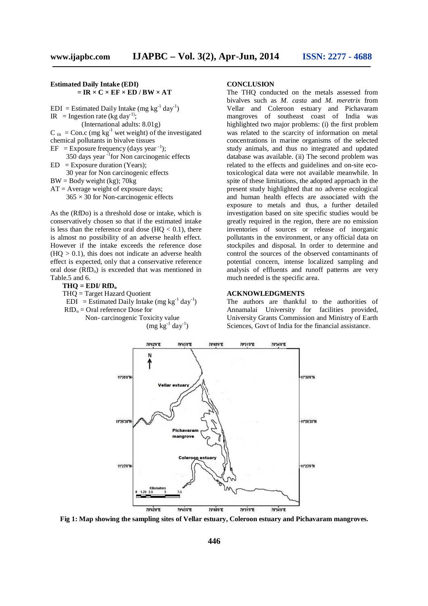#### **Estimated Daily Intake (EDI)**  $=$  **IR**  $\times$  **C**  $\times$  **EF**  $\times$  **ED** / **BW**  $\times$  **AT**

 $EDI = Estimated Daily Intake (mg kg<sup>-1</sup> day<sup>-1</sup>)$ IR = Ingestion rate (kg day<sup>-1)</sup>; (International adults: 8.01g)  $C_{\text{tis}} = \text{Con.c (mg kg}^{-1}$  wet weight) of the investigated chemical pollutants in bivalve tissues  $EF = Exposure frequency (days year<sup>-1</sup>);$  350 days year -1 for Non carcinogenic effects  $ED = Exposure duration (Years);$  30 year for Non carcinogenic effects  $BW = Body weight (kg); 70kg$  $AT =$  Average weight of exposure days;

 $365 \times 30$  for Non-carcinogenic effects

As the (RfDo) is a threshold dose or intake, which is conservatively chosen so that if the estimated intake is less than the reference oral dose  $(HQ < 0.1)$ , there is almost no possibility of an adverse health effect. However if the intake exceeds the reference dose  $(HQ > 0.1)$ , this does not indicate an adverse health effect is expected, only that a conservative reference oral dose  $(RfD<sub>o</sub>)$  is exceeded that was mentioned in Table.5 and 6.

 $THO = EDI/ RfD<sub>o</sub>$ 

THQ = Target Hazard Quotient

 $EDI = Estimated Daily Intake (mg kg<sup>-1</sup> day<sup>-1</sup>)$ 

 $RfD<sub>o</sub> =$  Oral reference Dose for

Non- carcinogenic Toxicity value

 $(\text{mg kg}^{-1} \text{ day}^{-1})$ 

#### **CONCLUSION**

The THQ conducted on the metals assessed from bivalves such as *M. casta* and *M. meretrix* from Vellar and Coleroon estuary and Pichavaram mangroves of southeast coast of India was highlighted two major problems: (i) the first problem was related to the scarcity of information on metal concentrations in marine organisms of the selected study animals, and thus no integrated and updated database was available. (ii) The second problem was related to the effects and guidelines and on-site ecotoxicological data were not available meanwhile. In spite of these limitations, the adopted approach in the present study highlighted that no adverse ecological and human health effects are associated with the exposure to metals and thus, a further detailed investigation based on site specific studies would be greatly required in the region, there are no emission inventories of sources or release of inorganic pollutants in the environment, or any official data on stockpiles and disposal. In order to determine and control the sources of the observed contaminants of potential concern, intense localized sampling and analysis of effluents and runoff patterns are very much needed is the specific area.

#### **ACKNOWLEDGMENTS**

The authors are thankful to the authorities of Annamalai University for facilities provided, University Grants Commission and Ministry of Earth Sciences, Govt of India for the financial assistance.



**Fig 1: Map showing the sampling sites of Vellar estuary, Coleroon estuary and Pichavaram mangroves.**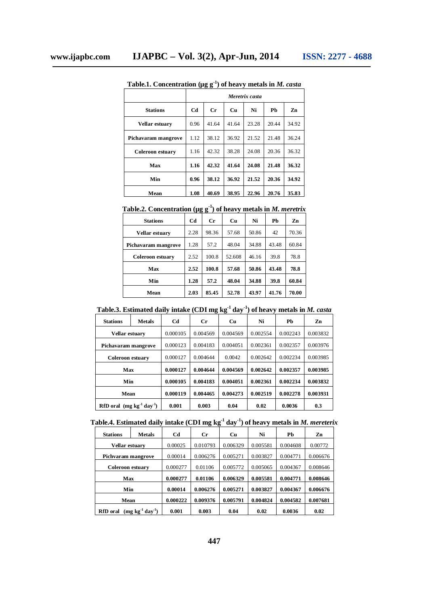|                         |      | Meretrix casta |       |       |       |       |  |  |  |
|-------------------------|------|----------------|-------|-------|-------|-------|--|--|--|
| <b>Stations</b>         | Cd   | Сr             | Cп    | Ni    | Ph    | Zn    |  |  |  |
| Vellar estuary          | 0.96 | 41.64          | 41.64 | 23.28 | 20.44 | 34.92 |  |  |  |
| Pichavaram mangrove     | 1.12 | 38.12          | 36.92 | 21.52 | 21.48 | 36.24 |  |  |  |
| <b>Coleroon estuary</b> | 1.16 | 42.32          | 38.28 | 24.08 | 20.36 | 36.32 |  |  |  |
| Max                     | 1.16 | 42.32          | 41.64 | 24.08 | 21.48 | 36.32 |  |  |  |
| Min                     | 0.96 | 38.12          | 36.92 | 21.52 | 20.36 | 34.92 |  |  |  |
| Mean                    | 1.08 | 40.69          | 38.95 | 22.96 | 20.76 | 35.83 |  |  |  |

**Table.1. Concentration (µg g-1 ) of heavy metals in** *M. casta*

## **Table.2. Concentration (µg g-1 ) of heavy metals in** *M. meretrix*

| <b>Stations</b>         | Cd   | $C_{r}$ | Cu     | Ni    | Ph    | Zn    |
|-------------------------|------|---------|--------|-------|-------|-------|
| <b>Vellar estuary</b>   | 2.28 | 98.36   | 57.68  | 50.86 | 42    | 70.36 |
| Pichavaram mangrove     | 1.28 | 57.2    | 48.04  | 34.88 | 43.48 | 60.84 |
| <b>Coleroon estuary</b> | 2.52 | 100.8   | 52.608 | 46.16 | 39.8  | 78.8  |
| Max                     | 2.52 | 100.8   | 57.68  | 50.86 | 43.48 | 78.8  |
| Min                     | 1.28 | 57.2    | 48.04  | 34.88 | 39.8  | 60.84 |
| Mean                    | 2.03 | 85.45   | 52.78  | 43.97 | 41.76 | 70.00 |

## **Table.3. Estimated daily intake (CDI mg kg-1 day-1 ) of heavy metals in** *M. casta*

| <b>Stations</b>                 | <b>Metals</b> | Cd       | Сr       | Cu       | Ni       | Ph       | Zn       |
|---------------------------------|---------------|----------|----------|----------|----------|----------|----------|
| Vellar estuary                  |               | 0.000105 | 0.004569 | 0.004569 | 0.002554 | 0.002243 | 0.003832 |
| Pichavaram mangrove             |               | 0.000123 | 0.004183 | 0.004051 | 0.002361 | 0.002357 | 0.003976 |
| <b>Coleroon estuary</b>         |               | 0.000127 | 0.004644 | 0.0042   | 0.002642 | 0.002234 | 0.003985 |
| Max                             |               | 0.000127 | 0.004644 | 0.004569 | 0.002642 | 0.002357 | 0.003985 |
| Min                             |               | 0.000105 | 0.004183 | 0.004051 | 0.002361 | 0.002234 | 0.003832 |
| Mean                            |               | 0.000119 | 0.004465 | 0.004273 | 0.002519 | 0.002278 | 0.003931 |
| RfD oral $(mg kg^{-1}day^{-1})$ |               | 0.001    | 0.003    | 0.04     | 0.02     | 0.0036   | 0.3      |

## **Table.4. Estimated daily intake (CDI mg kg-1 day-1 ) of heavy metals in** *M. mereterix*

| <b>Stations</b>    | <b>Metals</b>     | Cd       | Cr       | <b>Cu</b> | Ni       | Pb       | Zn       |
|--------------------|-------------------|----------|----------|-----------|----------|----------|----------|
| Vellar estuarv     |                   | 0.00025  | 0.010793 | 0.006329  | 0.005581 | 0.004608 | 0.00772  |
| Pichvaram mangrove |                   | 0.00014  | 0.006276 | 0.005271  | 0.003827 | 0.004771 | 0.006676 |
| Coleroon estuary   |                   | 0.000277 | 0.01106  | 0.005772  | 0.005065 | 0.004367 | 0.008646 |
| Max                |                   | 0.000277 | 0.01106  | 0.006329  | 0.005581 | 0.004771 | 0.008646 |
| Min                |                   | 0.00014  | 0.006276 | 0.005271  | 0.003827 | 0.004367 | 0.006676 |
| Mean               |                   | 0.000222 | 0.009376 | 0.005791  | 0.004824 | 0.004582 | 0.007681 |
| <b>RfD</b> oral    | $(mg kg-1 day-1)$ | 0.001    | 0.003    | 0.04      | 0.02     | 0.0036   | 0.02     |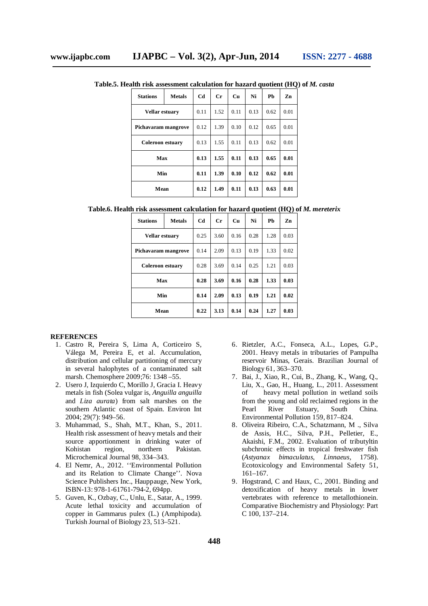| <b>Stations</b>         | <b>Metals</b> | Cd   | Cr   | Cп   | Ni   | Ph   | Zn   |
|-------------------------|---------------|------|------|------|------|------|------|
| Vellar estuary          |               | 0.11 | 1.52 | 0.11 | 0.13 | 0.62 | 0.01 |
| Pichavaram mangrove     |               | 0.12 | 1.39 | 0.10 | 0.12 | 0.65 | 0.01 |
| <b>Coleroon estuary</b> |               | 0.13 | 1.55 | 0.11 | 0.13 | 0.62 | 0.01 |
| Max                     |               | 0.13 | 1.55 | 0.11 | 0.13 | 0.65 | 0.01 |
| Min                     |               | 0.11 | 1.39 | 0.10 | 0.12 | 0.62 | 0.01 |
| Mean                    |               | 0.12 | 1.49 | 0.11 | 0.13 | 0.63 | 0.01 |

**Table.5. Health risk assessment calculation for hazard quotient (HQ) of** *M. casta*

**Table.6. Health risk assessment calculation for hazard quotient (HQ) of** *M. mereterix*

| <b>Stations</b>         | <b>Metals</b> | <b>Cd</b> | $C_{r}$ | <b>Cu</b> | Ni   | Ph   | Zn   |
|-------------------------|---------------|-----------|---------|-----------|------|------|------|
| Vellar estuary          |               | 0.25      | 3.60    | 0.16      | 0.28 | 1.28 | 0.03 |
| Pichavaram mangrove     |               | 0.14      | 2.09    | 0.13      | 0.19 | 1.33 | 0.02 |
| <b>Coleroon estuary</b> |               | 0.28      | 3.69    | 0.14      | 0.25 | 1.21 | 0.03 |
| Max                     |               | 0.28      | 3.69    | 0.16      | 0.28 | 1.33 | 0.03 |
| Min                     |               | 0.14      | 2.09    | 0.13      | 0.19 | 1.21 | 0.02 |
| Mean                    |               | 0.22      | 3.13    | 0.14      | 0.24 | 1.27 | 0.03 |

#### **REFERENCES**

- 1. Castro R, Pereira S, Lima A, Corticeiro S, Válega M, Pereira E, et al. Accumulation, distribution and cellular partitioning of mercury in several halophytes of a contaminated salt marsh. Chemosphere 2009;76: 1348 –55.
- 2. Usero J, Izquierdo C, Morillo J, Gracia I. Heavy metals in fish (Solea vulgar is, *Anguilla anguilla* and *Liza aurata*) from salt marshes on the southern Atlantic coast of Spain. Environ Int 2004; 29(7): 949–56.
- 3. Muhammad, S., Shah, M.T., Khan, S., 2011. Health risk assessment of heavy metals and their source apportionment in drinking water of Kohistan region, northern Pakistan. Microchemical Journal 98, 334–343.
- 4. El Nemr, A., 2012. ''Environmental Pollution and its Relation to Climate Change''. Nova Science Publishers Inc., Hauppauge, New York, ISBN-13: 978-1-61761-794-2, 694pp.
- 5. Guven, K., Ozbay, C., Unlu, E., Satar, A., 1999. Acute lethal toxicity and accumulation of copper in Gammarus pulex (L.) (Amphipoda). Turkish Journal of Biology 23, 513–521.
- 6. Rietzler, A.C., Fonseca, A.L., Lopes, G.P., 2001. Heavy metals in tributaries of Pampulha reservoir Minas, Gerais. Brazilian Journal of Biology 61, 363–370.
- 7. Bai, J., Xiao, R., Cui, B., Zhang, K., Wang, Q., Liu, X., Gao, H., Huang, L., 2011. Assessment heavy metal pollution in wetland soils from the young and old reclaimed regions in the<br>Pearl River Estuary, South China. Pearl River Estuary, South China. Environmental Pollution 159, 817–824.
- 8. Oliveira Ribeiro, C.A., Schatzmann, M ., Silva de Assis, H.C., Silva, P.H., Pelletier, E., Akaishi, F.M., 2002. Evaluation of tributyltin subchronic effects in tropical freshwater fish (*Astyanax bimaculatus, Linnaeus,* 1758). Ecotoxicology and Environmental Safety 51, 161–167.
- 9. Hogstrand, C and Haux, C., 2001. Binding and detoxification of heavy metals in lower vertebrates with reference to metallothionein. Comparative Biochemistry and Physiology: Part C 100, 137–214.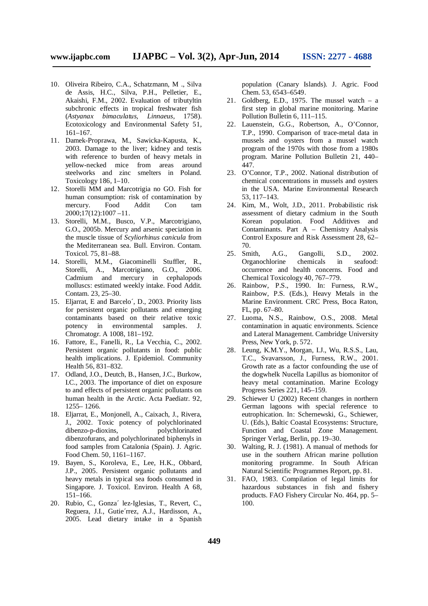- 10. Oliveira Ribeiro, C.A., Schatzmann, M ., Silva de Assis, H.C., Silva, P.H., Pelletier, E., Akaishi, F.M., 2002. Evaluation of tributyltin subchronic effects in tropical freshwater fish (*Astyanax bimaculatus, Linnaeus,* 1758). Ecotoxicology and Environmental Safety 51, 161–167.
- 11. Damek-Proprawa, M., Sawicka-Kapusta, K., 2003. Damage to the liver; kidney and testis with reference to burden of heavy metals in yellow-necked mice from areas around steelworks and zinc smelters in Poland. Toxicology 186, 1–10.
- 12. Storelli MM and Marcotrigia no GO. Fish for human consumption: risk of contamination by mercury. Food Addit Con tam 2000;17(12):1007 –11.
- 13. Storelli, M.M., Busco, V.P., Marcotrigiano, G.O., 2005b. Mercury and arsenic speciation in the muscle tissue of *Scyliorhinus canicula* from the Mediterranean sea. Bull. Environ. Contam. Toxicol. 75, 81–88.
- 14. Storelli, M.M., Giacominelli Stuffler, R., Storelli, A., Marcotrigiano, G.O., 2006. Cadmium and mercury in cephalopods molluscs: estimated weekly intake. Food Addit. Contam. 23, 25–30.
- 15. Eljarrat, E and Barcelo´, D., 2003. Priority lists for persistent organic pollutants and emerging contaminants based on their relative toxic potency in environmental samples. J. Chromatogr. A 1008, 181–192.
- 16. Fattore, E., Fanelli, R., La Vecchia, C., 2002. Persistent organic pollutants in food: public health implications. J. Epidemiol. Community Health 56, 831–832.
- 17. Odland, J.O., Deutch, B., Hansen, J.C., Burkow, I.C., 2003. The importance of diet on exposure to and effects of persistent organic pollutants on human health in the Arctic. Acta Paediatr. 92, 1255– 1266.
- 18. Eljarrat, E., Monjonell, A., Caixach, J., Rivera, J., 2002. Toxic potency of polychlorinated dibenzo-p-dioxins, polychlorinated dibenzofurans, and polychlorinated biphenyls in food samples from Catalonia (Spain). J. Agric. Food Chem. 50, 1161–1167.
- 19. Bayen, S., Koroleva, E., Lee, H.K., Obbard, J.P., 2005. Persistent organic pollutants and heavy metals in typical sea foods consumed in Singapore. J. Toxicol. Environ. Health A 68, 151–166.
- 20. Rubio, C., Gonza´ lez-Iglesias, T., Revert, C., Reguera, J.I., Gutie´rrez, A.J., Hardisson, A., 2005. Lead dietary intake in a Spanish

population (Canary Islands). J. Agric. Food Chem. 53, 6543–6549.

- 21. Goldberg, E.D., 1975. The mussel watch a first step in global marine monitoring. Marine Pollution Bulletin 6, 111–115.
- 22. Lauenstein, G.G., Robertson, A., O'Connor, T.P., 1990. Comparison of trace-metal data in mussels and oysters from a mussel watch program of the 1970s with those from a 1980s program. Marine Pollution Bulletin 21, 440– 447.
- 23. O'Connor, T.P., 2002. National distribution of chemical concentrations in mussels and oysters in the USA. Marine Environmental Research 53, 117–143.
- 24. Kim, M., Wolt, J.D., 2011. Probabilistic risk assessment of dietary cadmium in the South Korean population. Food Additives and Contaminants. Part A – Chemistry Analysis Control Exposure and Risk Assessment 28, 62– 70.
- 25. Smith, A.G., Gangolli, S.D., 2002. Organochlorine chemicals in seafood: occurrence and health concerns. Food and Chemical Toxicology 40, 767–779.
- 26. Rainbow, P.S., 1990. In: Furness, R.W., Rainbow, P.S. (Eds.), Heavy Metals in the Marine Environment. CRC Press, Boca Raton, FL, pp. 67–80.
- 27. Luoma, N.S., Rainbow, O.S., 2008. Metal contamination in aquatic environments. Science and Lateral Management. Cambridge University Press, New York, p. 572.
- 28. Leung, K.M.Y., Morgan, I.J., Wu, R.S.S., Lau, T.C., Svavarsson, J., Furness, R.W., 2001. Growth rate as a factor confounding the use of the dogwhelk Nucella Lapillus as biomonitor of heavy metal contamination. Marine Ecology Progress Series 221, 145–159.
- 29. Schiewer U (2002) Recent changes in northern German lagoons with special reference to eutrophication. In: Schernewski, G., Schiewer, U. (Eds.), Baltic Coastal Ecosystems: Structure, Function and Coastal Zone Management. Springer Verlag, Berlin, pp. 19–30.
- 30. Walting, R. J. (1981). A manual of methods for use in the southern African marine pollution monitoring programme. In South African Natural Scientific Programmes Report, pp. 81.
- 31. FAO, 1983. Compilation of legal limits for hazardous substances in fish and fishery products. FAO Fishery Circular No. 464, pp. 5– 100.